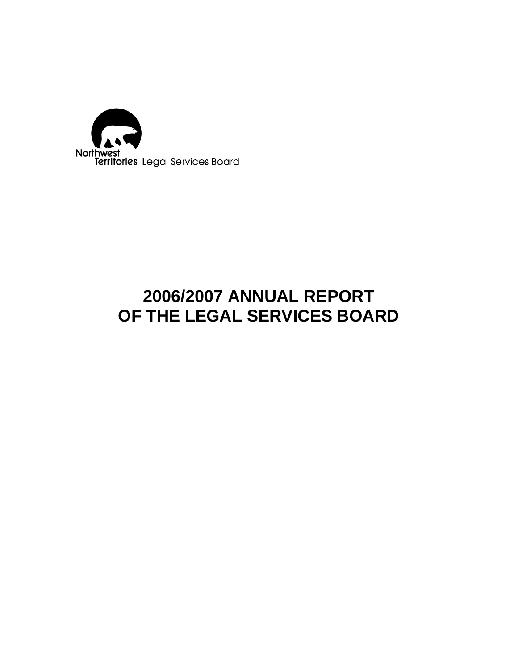

# **2006/2007 ANNUAL REPORT OF THE LEGAL SERVICES BOARD**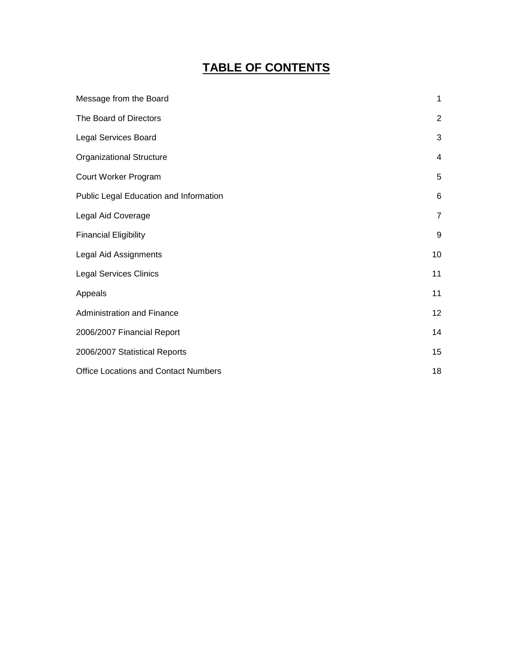# **TABLE OF CONTENTS**

| Message from the Board                      | 1              |
|---------------------------------------------|----------------|
| The Board of Directors                      | 2              |
| <b>Legal Services Board</b>                 | 3              |
| <b>Organizational Structure</b>             | 4              |
| Court Worker Program                        | 5              |
| Public Legal Education and Information      | 6              |
| Legal Aid Coverage                          | $\overline{7}$ |
| <b>Financial Eligibility</b>                | 9              |
| Legal Aid Assignments                       | 10             |
| <b>Legal Services Clinics</b>               | 11             |
| Appeals                                     | 11             |
| <b>Administration and Finance</b>           | 12             |
| 2006/2007 Financial Report                  | 14             |
| 2006/2007 Statistical Reports               | 15             |
| <b>Office Locations and Contact Numbers</b> | 18             |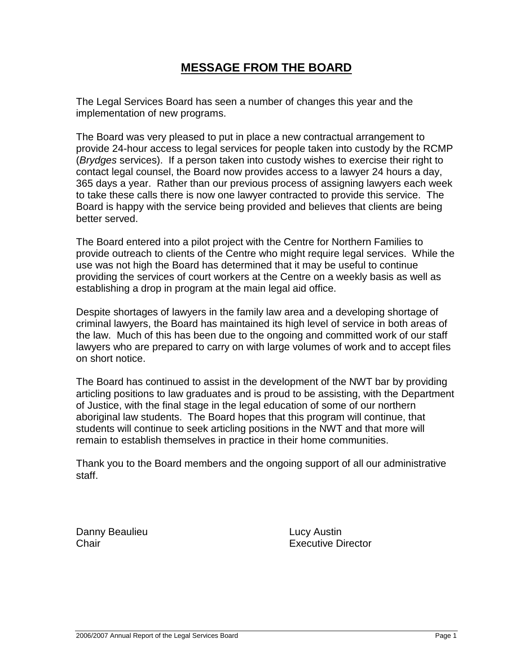# **MESSAGE FROM THE BOARD**

The Legal Services Board has seen a number of changes this year and the implementation of new programs.

The Board was very pleased to put in place a new contractual arrangement to provide 24-hour access to legal services for people taken into custody by the RCMP (*Brydges* services). If a person taken into custody wishes to exercise their right to contact legal counsel, the Board now provides access to a lawyer 24 hours a day, 365 days a year. Rather than our previous process of assigning lawyers each week to take these calls there is now one lawyer contracted to provide this service. The Board is happy with the service being provided and believes that clients are being better served.

The Board entered into a pilot project with the Centre for Northern Families to provide outreach to clients of the Centre who might require legal services. While the use was not high the Board has determined that it may be useful to continue providing the services of court workers at the Centre on a weekly basis as well as establishing a drop in program at the main legal aid office.

Despite shortages of lawyers in the family law area and a developing shortage of criminal lawyers, the Board has maintained its high level of service in both areas of the law. Much of this has been due to the ongoing and committed work of our staff lawyers who are prepared to carry on with large volumes of work and to accept files on short notice.

The Board has continued to assist in the development of the NWT bar by providing articling positions to law graduates and is proud to be assisting, with the Department of Justice, with the final stage in the legal education of some of our northern aboriginal law students. The Board hopes that this program will continue, that students will continue to seek articling positions in the NWT and that more will remain to establish themselves in practice in their home communities.

Thank you to the Board members and the ongoing support of all our administrative staff.

Danny Beaulieu **Lucy Austin** 

Chair Executive Director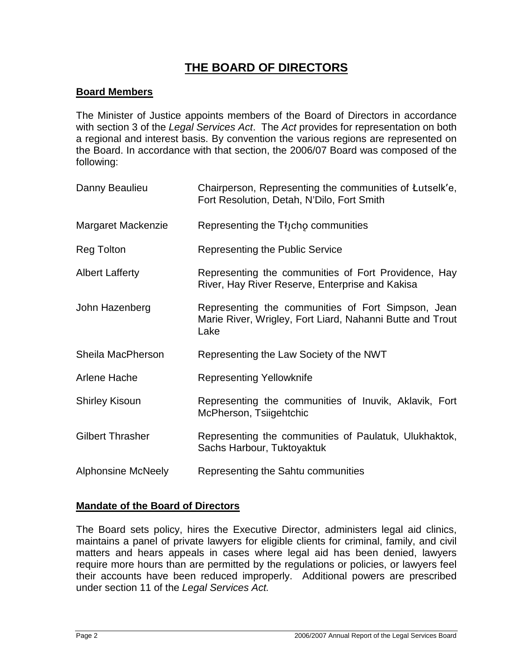# **THE BOARD OF DIRECTORS**

### **Board Members**

The Minister of Justice appoints members of the Board of Directors in accordance with section 3 of the *Legal Services Act*. The *Act* provides for representation on both a regional and interest basis. By convention the various regions are represented on the Board. In accordance with that section, the 2006/07 Board was composed of the following:

| Danny Beaulieu            | Chairperson, Representing the communities of Lutselk'e,<br>Fort Resolution, Detah, N'Dilo, Fort Smith                   |
|---------------------------|-------------------------------------------------------------------------------------------------------------------------|
| Margaret Mackenzie        | Representing the Tłjcho communities                                                                                     |
| Reg Tolton                | Representing the Public Service                                                                                         |
| <b>Albert Lafferty</b>    | Representing the communities of Fort Providence, Hay<br>River, Hay River Reserve, Enterprise and Kakisa                 |
| John Hazenberg            | Representing the communities of Fort Simpson, Jean<br>Marie River, Wrigley, Fort Liard, Nahanni Butte and Trout<br>Lake |
| Sheila MacPherson         | Representing the Law Society of the NWT                                                                                 |
| Arlene Hache              | <b>Representing Yellowknife</b>                                                                                         |
| <b>Shirley Kisoun</b>     | Representing the communities of Inuvik, Aklavik, Fort<br>McPherson, Tsiigehtchic                                        |
| <b>Gilbert Thrasher</b>   | Representing the communities of Paulatuk, Ulukhaktok,<br>Sachs Harbour, Tuktoyaktuk                                     |
| <b>Alphonsine McNeely</b> | Representing the Sahtu communities                                                                                      |

### **Mandate of the Board of Directors**

The Board sets policy, hires the Executive Director, administers legal aid clinics, maintains a panel of private lawyers for eligible clients for criminal, family, and civil matters and hears appeals in cases where legal aid has been denied, lawyers require more hours than are permitted by the regulations or policies, or lawyers feel their accounts have been reduced improperly. Additional powers are prescribed under section 11 of the *Legal Services Act.*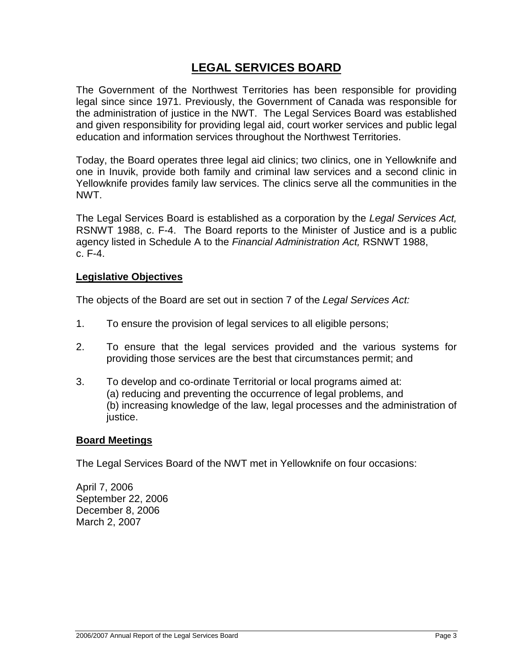# **LEGAL SERVICES BOARD**

The Government of the Northwest Territories has been responsible for providing legal since since 1971. Previously, the Government of Canada was responsible for the administration of justice in the NWT. The Legal Services Board was established and given responsibility for providing legal aid, court worker services and public legal education and information services throughout the Northwest Territories.

Today, the Board operates three legal aid clinics; two clinics, one in Yellowknife and one in Inuvik, provide both family and criminal law services and a second clinic in Yellowknife provides family law services. The clinics serve all the communities in the NWT.

The Legal Services Board is established as a corporation by the *Legal Services Act,* RSNWT 1988, c. F-4. The Board reports to the Minister of Justice and is a public agency listed in Schedule A to the *Financial Administration Act,* RSNWT 1988, c. F-4.

#### **Legislative Objectives**

The objects of the Board are set out in section 7 of the *Legal Services Act:*

- 1. To ensure the provision of legal services to all eligible persons;
- 2. To ensure that the legal services provided and the various systems for providing those services are the best that circumstances permit; and
- 3. To develop and co-ordinate Territorial or local programs aimed at: (a) reducing and preventing the occurrence of legal problems, and (b) increasing knowledge of the law, legal processes and the administration of justice.

#### **Board Meetings**

The Legal Services Board of the NWT met in Yellowknife on four occasions:

April 7, 2006 September 22, 2006 December 8, 2006 March 2, 2007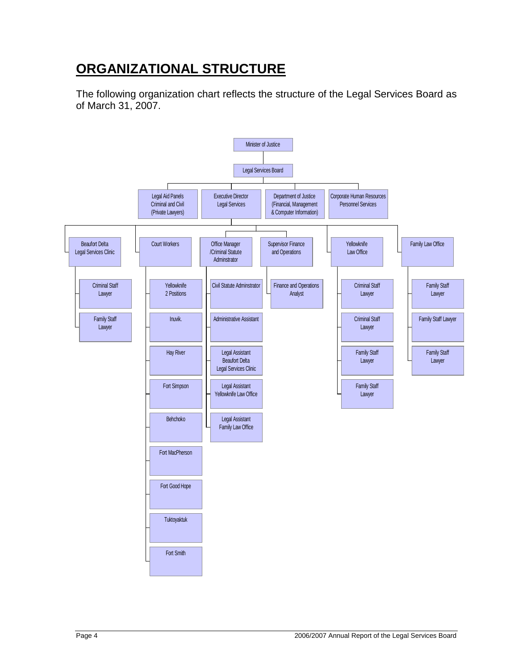# **ORGANIZATIONAL STRUCTURE**

The following organization chart reflects the structure of the Legal Services Board as of March 31, 2007.

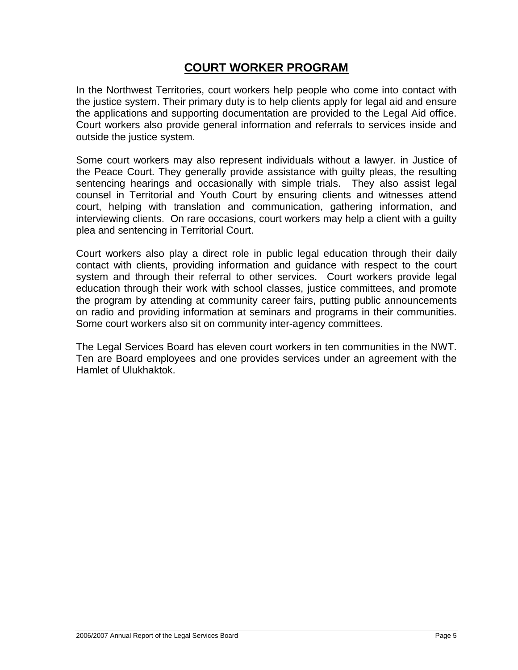# **COURT WORKER PROGRAM**

In the Northwest Territories, court workers help people who come into contact with the justice system. Their primary duty is to help clients apply for legal aid and ensure the applications and supporting documentation are provided to the Legal Aid office. Court workers also provide general information and referrals to services inside and outside the justice system.

Some court workers may also represent individuals without a lawyer. in Justice of the Peace Court. They generally provide assistance with guilty pleas, the resulting sentencing hearings and occasionally with simple trials. They also assist legal counsel in Territorial and Youth Court by ensuring clients and witnesses attend court, helping with translation and communication, gathering information, and interviewing clients. On rare occasions, court workers may help a client with a guilty plea and sentencing in Territorial Court.

Court workers also play a direct role in public legal education through their daily contact with clients, providing information and guidance with respect to the court system and through their referral to other services. Court workers provide legal education through their work with school classes, justice committees, and promote the program by attending at community career fairs, putting public announcements on radio and providing information at seminars and programs in their communities. Some court workers also sit on community inter-agency committees.

The Legal Services Board has eleven court workers in ten communities in the NWT. Ten are Board employees and one provides services under an agreement with the Hamlet of Ulukhaktok.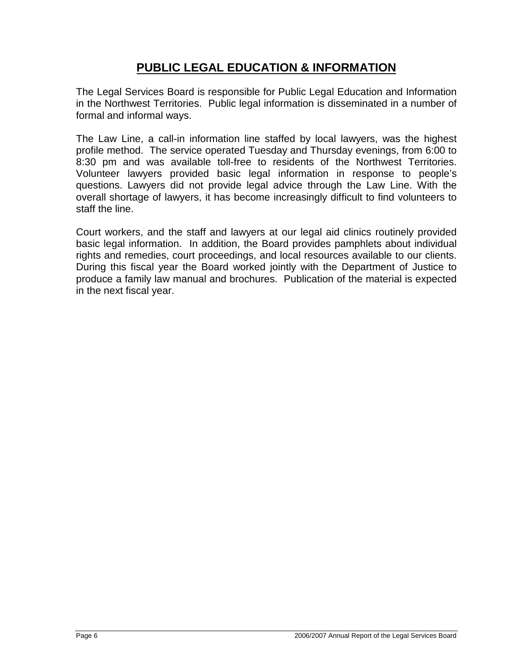# **PUBLIC LEGAL EDUCATION & INFORMATION**

The Legal Services Board is responsible for Public Legal Education and Information in the Northwest Territories. Public legal information is disseminated in a number of formal and informal ways.

The Law Line, a call-in information line staffed by local lawyers, was the highest profile method. The service operated Tuesday and Thursday evenings, from 6:00 to 8:30 pm and was available toll-free to residents of the Northwest Territories. Volunteer lawyers provided basic legal information in response to people's questions. Lawyers did not provide legal advice through the Law Line. With the overall shortage of lawyers, it has become increasingly difficult to find volunteers to staff the line.

Court workers, and the staff and lawyers at our legal aid clinics routinely provided basic legal information. In addition, the Board provides pamphlets about individual rights and remedies, court proceedings, and local resources available to our clients. During this fiscal year the Board worked jointly with the Department of Justice to produce a family law manual and brochures. Publication of the material is expected in the next fiscal year.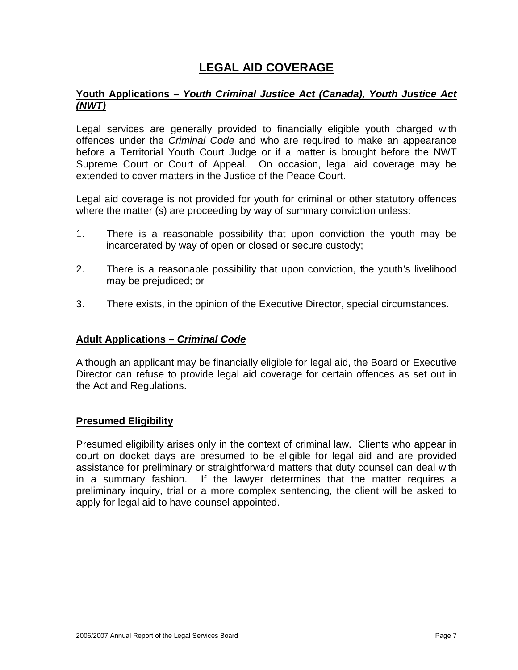# **LEGAL AID COVERAGE**

### **Youth Applications –** *Youth Criminal Justice Act (Canada), Youth Justice Act (NWT)*

Legal services are generally provided to financially eligible youth charged with offences under the *Criminal Code* and who are required to make an appearance before a Territorial Youth Court Judge or if a matter is brought before the NWT Supreme Court or Court of Appeal. On occasion, legal aid coverage may be extended to cover matters in the Justice of the Peace Court.

Legal aid coverage is not provided for youth for criminal or other statutory offences where the matter (s) are proceeding by way of summary conviction unless:

- 1. There is a reasonable possibility that upon conviction the youth may be incarcerated by way of open or closed or secure custody;
- 2. There is a reasonable possibility that upon conviction, the youth's livelihood may be prejudiced; or
- 3. There exists, in the opinion of the Executive Director, special circumstances.

### **Adult Applications –** *Criminal Code*

Although an applicant may be financially eligible for legal aid, the Board or Executive Director can refuse to provide legal aid coverage for certain offences as set out in the Act and Regulations.

### **Presumed Eligibility**

Presumed eligibility arises only in the context of criminal law. Clients who appear in court on docket days are presumed to be eligible for legal aid and are provided assistance for preliminary or straightforward matters that duty counsel can deal with in a summary fashion. If the lawyer determines that the matter requires a preliminary inquiry, trial or a more complex sentencing, the client will be asked to apply for legal aid to have counsel appointed.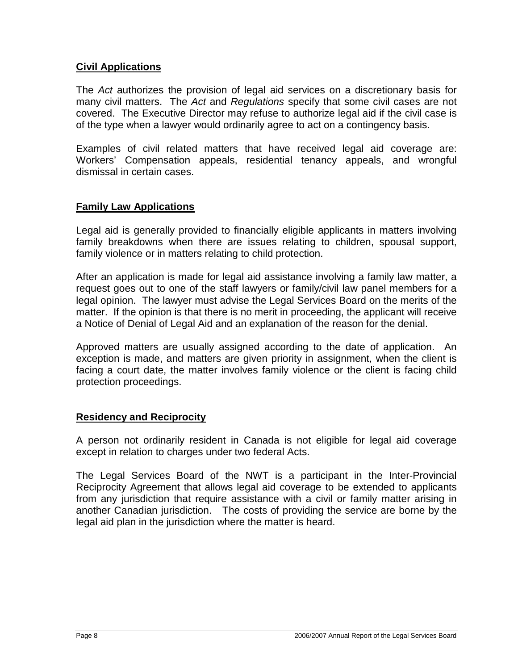### **Civil Applications**

The *Act* authorizes the provision of legal aid services on a discretionary basis for many civil matters. The *Act* and *Regulations* specify that some civil cases are not covered. The Executive Director may refuse to authorize legal aid if the civil case is of the type when a lawyer would ordinarily agree to act on a contingency basis.

Examples of civil related matters that have received legal aid coverage are: Workers' Compensation appeals, residential tenancy appeals, and wrongful dismissal in certain cases.

### **Family Law Applications**

Legal aid is generally provided to financially eligible applicants in matters involving family breakdowns when there are issues relating to children, spousal support, family violence or in matters relating to child protection.

After an application is made for legal aid assistance involving a family law matter, a request goes out to one of the staff lawyers or family/civil law panel members for a legal opinion. The lawyer must advise the Legal Services Board on the merits of the matter. If the opinion is that there is no merit in proceeding, the applicant will receive a Notice of Denial of Legal Aid and an explanation of the reason for the denial.

Approved matters are usually assigned according to the date of application. An exception is made, and matters are given priority in assignment, when the client is facing a court date, the matter involves family violence or the client is facing child protection proceedings.

### **Residency and Reciprocity**

A person not ordinarily resident in Canada is not eligible for legal aid coverage except in relation to charges under two federal Acts.

The Legal Services Board of the NWT is a participant in the Inter-Provincial Reciprocity Agreement that allows legal aid coverage to be extended to applicants from any jurisdiction that require assistance with a civil or family matter arising in another Canadian jurisdiction. The costs of providing the service are borne by the legal aid plan in the jurisdiction where the matter is heard.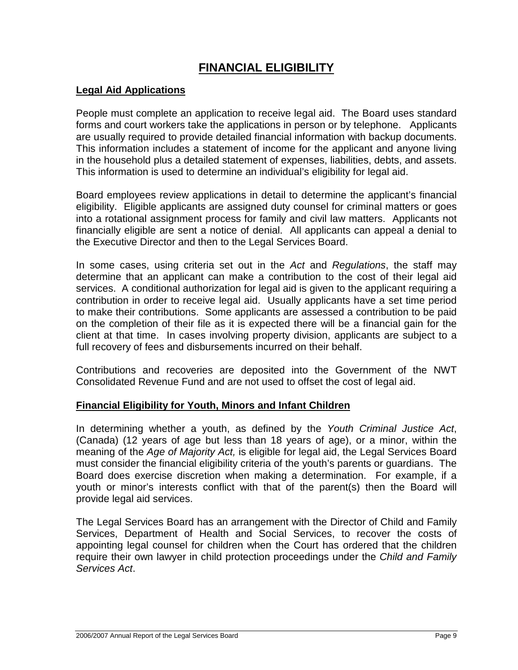# **FINANCIAL ELIGIBILITY**

### **Legal Aid Applications**

People must complete an application to receive legal aid. The Board uses standard forms and court workers take the applications in person or by telephone. Applicants are usually required to provide detailed financial information with backup documents. This information includes a statement of income for the applicant and anyone living in the household plus a detailed statement of expenses, liabilities, debts, and assets. This information is used to determine an individual's eligibility for legal aid.

Board employees review applications in detail to determine the applicant's financial eligibility. Eligible applicants are assigned duty counsel for criminal matters or goes into a rotational assignment process for family and civil law matters. Applicants not financially eligible are sent a notice of denial. All applicants can appeal a denial to the Executive Director and then to the Legal Services Board.

In some cases, using criteria set out in the *Act* and *Regulations*, the staff may determine that an applicant can make a contribution to the cost of their legal aid services. A conditional authorization for legal aid is given to the applicant requiring a contribution in order to receive legal aid. Usually applicants have a set time period to make their contributions. Some applicants are assessed a contribution to be paid on the completion of their file as it is expected there will be a financial gain for the client at that time. In cases involving property division, applicants are subject to a full recovery of fees and disbursements incurred on their behalf.

Contributions and recoveries are deposited into the Government of the NWT Consolidated Revenue Fund and are not used to offset the cost of legal aid.

### **Financial Eligibility for Youth, Minors and Infant Children**

In determining whether a youth, as defined by the *Youth Criminal Justice Act*, (Canada) (12 years of age but less than 18 years of age), or a minor, within the meaning of the *Age of Majority Act,* is eligible for legal aid, the Legal Services Board must consider the financial eligibility criteria of the youth's parents or guardians. The Board does exercise discretion when making a determination. For example, if a youth or minor's interests conflict with that of the parent(s) then the Board will provide legal aid services.

The Legal Services Board has an arrangement with the Director of Child and Family Services, Department of Health and Social Services, to recover the costs of appointing legal counsel for children when the Court has ordered that the children require their own lawyer in child protection proceedings under the *Child and Family Services Act*.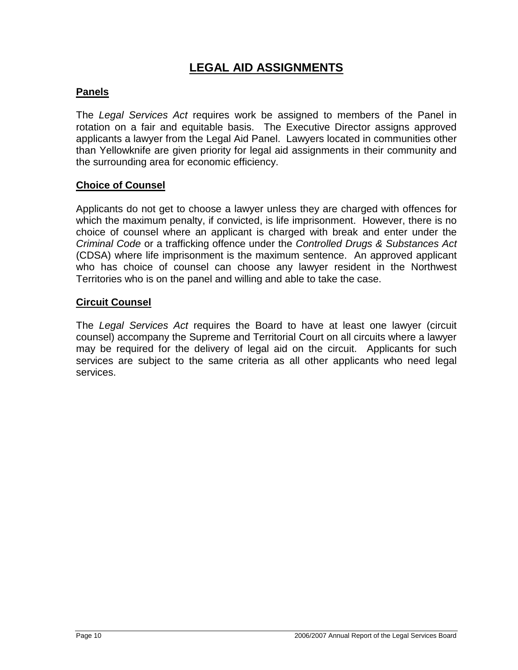# **LEGAL AID ASSIGNMENTS**

## **Panels**

The *Legal Services Act* requires work be assigned to members of the Panel in rotation on a fair and equitable basis. The Executive Director assigns approved applicants a lawyer from the Legal Aid Panel. Lawyers located in communities other than Yellowknife are given priority for legal aid assignments in their community and the surrounding area for economic efficiency.

### **Choice of Counsel**

Applicants do not get to choose a lawyer unless they are charged with offences for which the maximum penalty, if convicted, is life imprisonment. However, there is no choice of counsel where an applicant is charged with break and enter under the *Criminal Code* or a trafficking offence under the *Controlled Drugs & Substances Act* (CDSA) where life imprisonment is the maximum sentence. An approved applicant who has choice of counsel can choose any lawyer resident in the Northwest Territories who is on the panel and willing and able to take the case.

### **Circuit Counsel**

The *Legal Services Act* requires the Board to have at least one lawyer (circuit counsel) accompany the Supreme and Territorial Court on all circuits where a lawyer may be required for the delivery of legal aid on the circuit. Applicants for such services are subject to the same criteria as all other applicants who need legal services.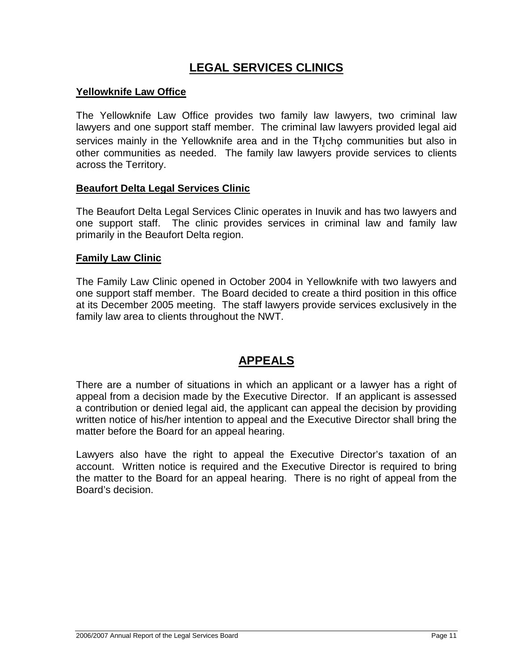# **LEGAL SERVICES CLINICS**

### **Yellowknife Law Office**

The Yellowknife Law Office provides two family law lawyers, two criminal law lawyers and one support staff member. The criminal law lawyers provided legal aid services mainly in the Yellowknife area and in the  $T_i$ <sub>1</sub>cho communities but also in other communities as needed. The family law lawyers provide services to clients across the Territory.

### **Beaufort Delta Legal Services Clinic**

The Beaufort Delta Legal Services Clinic operates in Inuvik and has two lawyers and one support staff. The clinic provides services in criminal law and family law primarily in the Beaufort Delta region.

### **Family Law Clinic**

The Family Law Clinic opened in October 2004 in Yellowknife with two lawyers and one support staff member. The Board decided to create a third position in this office at its December 2005 meeting. The staff lawyers provide services exclusively in the family law area to clients throughout the NWT.

## **APPEALS**

There are a number of situations in which an applicant or a lawyer has a right of appeal from a decision made by the Executive Director. If an applicant is assessed a contribution or denied legal aid, the applicant can appeal the decision by providing written notice of his/her intention to appeal and the Executive Director shall bring the matter before the Board for an appeal hearing.

Lawyers also have the right to appeal the Executive Director's taxation of an account. Written notice is required and the Executive Director is required to bring the matter to the Board for an appeal hearing. There is no right of appeal from the Board's decision.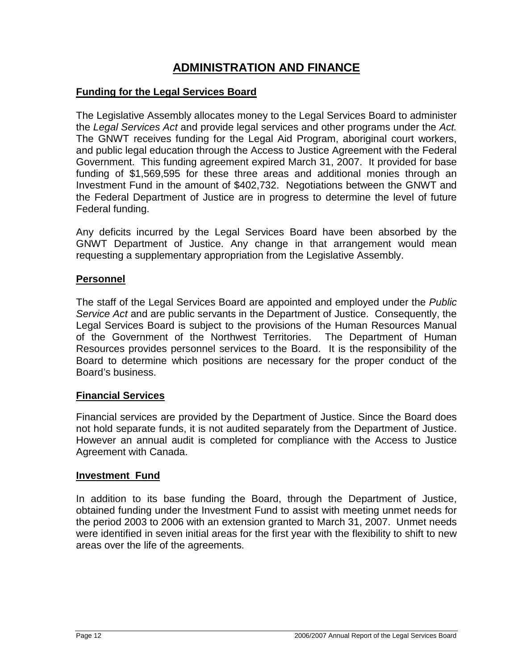# **ADMINISTRATION AND FINANCE**

### **Funding for the Legal Services Board**

The Legislative Assembly allocates money to the Legal Services Board to administer the *Legal Services Act* and provide legal services and other programs under the *Act.* The GNWT receives funding for the Legal Aid Program, aboriginal court workers, and public legal education through the Access to Justice Agreement with the Federal Government. This funding agreement expired March 31, 2007. It provided for base funding of \$1,569,595 for these three areas and additional monies through an Investment Fund in the amount of \$402,732. Negotiations between the GNWT and the Federal Department of Justice are in progress to determine the level of future Federal funding.

Any deficits incurred by the Legal Services Board have been absorbed by the GNWT Department of Justice. Any change in that arrangement would mean requesting a supplementary appropriation from the Legislative Assembly.

### **Personnel**

The staff of the Legal Services Board are appointed and employed under the *Public Service Act* and are public servants in the Department of Justice. Consequently, the Legal Services Board is subject to the provisions of the Human Resources Manual of the Government of the Northwest Territories. The Department of Human Resources provides personnel services to the Board. It is the responsibility of the Board to determine which positions are necessary for the proper conduct of the Board's business.

### **Financial Services**

Financial services are provided by the Department of Justice. Since the Board does not hold separate funds, it is not audited separately from the Department of Justice. However an annual audit is completed for compliance with the Access to Justice Agreement with Canada.

#### **Investment Fund**

In addition to its base funding the Board, through the Department of Justice, obtained funding under the Investment Fund to assist with meeting unmet needs for the period 2003 to 2006 with an extension granted to March 31, 2007. Unmet needs were identified in seven initial areas for the first year with the flexibility to shift to new areas over the life of the agreements.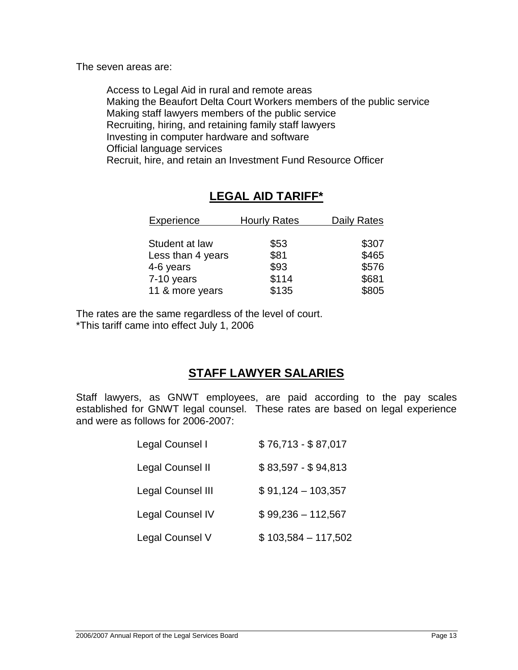The seven areas are:

Access to Legal Aid in rural and remote areas Making the Beaufort Delta Court Workers members of the public service Making staff lawyers members of the public service Recruiting, hiring, and retaining family staff lawyers Investing in computer hardware and software Official language services Recruit, hire, and retain an Investment Fund Resource Officer

# **LEGAL AID TARIFF\***

| Experience        | <b>Hourly Rates</b> | <b>Daily Rates</b> |
|-------------------|---------------------|--------------------|
|                   |                     |                    |
| Student at law    | \$53                | \$307              |
| Less than 4 years | \$81                | \$465              |
| 4-6 years         | \$93                | \$576              |
| 7-10 years        | \$114               | \$681              |
| 11 & more years   | \$135               | \$805              |

The rates are the same regardless of the level of court. \*This tariff came into effect July 1, 2006

# **STAFF LAWYER SALARIES**

Staff lawyers, as GNWT employees, are paid according to the pay scales established for GNWT legal counsel. These rates are based on legal experience and were as follows for 2006-2007:

| Legal Counsel I          | $$76,713 - $87,017$  |
|--------------------------|----------------------|
| Legal Counsel II         | \$83,597 - \$94,813  |
| <b>Legal Counsel III</b> | $$91,124-103,357$    |
| <b>Legal Counsel IV</b>  | $$99,236 - 112,567$  |
| Legal Counsel V          | $$103,584 - 117,502$ |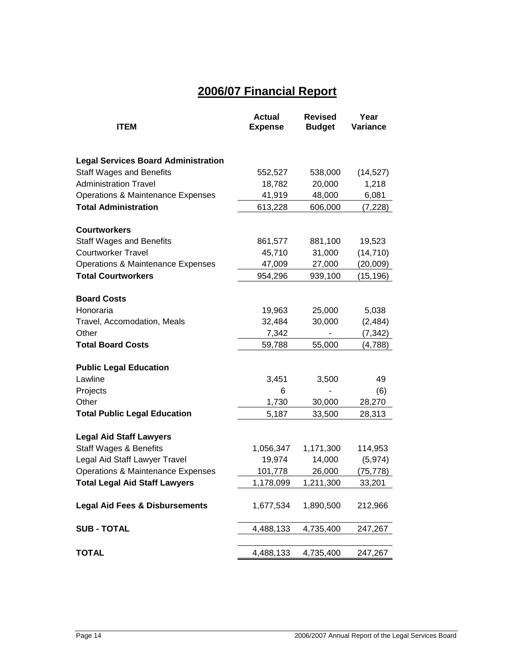# **2006/07 Financial Report**

| <b>ITEM</b>                                                                   | <b>Actual</b><br><b>Expense</b> | <b>Revised</b><br><b>Budget</b> | Year<br>Variance    |
|-------------------------------------------------------------------------------|---------------------------------|---------------------------------|---------------------|
|                                                                               |                                 |                                 |                     |
|                                                                               |                                 |                                 |                     |
| <b>Legal Services Board Administration</b>                                    |                                 |                                 |                     |
| <b>Staff Wages and Benefits</b>                                               | 552,527                         | 538,000                         | (14, 527)           |
| <b>Administration Travel</b>                                                  | 18,782                          | 20,000                          | 1,218               |
| <b>Operations &amp; Maintenance Expenses</b>                                  | 41,919                          | 48,000                          | 6,081               |
| <b>Total Administration</b>                                                   | 613,228                         | 606,000                         | (7, 228)            |
| <b>Courtworkers</b>                                                           |                                 |                                 |                     |
| <b>Staff Wages and Benefits</b>                                               | 861,577                         | 881,100                         | 19,523              |
| <b>Courtworker Travel</b>                                                     | 45,710                          | 31,000                          | (14, 710)           |
| <b>Operations &amp; Maintenance Expenses</b>                                  | 47,009                          | 27,000                          | (20,009)            |
| <b>Total Courtworkers</b>                                                     | 954,296                         | 939,100                         | (15, 196)           |
|                                                                               |                                 |                                 |                     |
| <b>Board Costs</b>                                                            |                                 |                                 |                     |
| Honoraria                                                                     | 19,963                          | 25,000                          | 5,038               |
| Travel, Accomodation, Meals                                                   | 32,484                          | 30,000                          | (2, 484)            |
| Other                                                                         | 7,342                           |                                 | (7, 342)            |
| <b>Total Board Costs</b>                                                      | 59,788                          | 55,000                          | (4,788)             |
| <b>Public Legal Education</b>                                                 |                                 |                                 |                     |
| Lawline                                                                       | 3,451                           | 3,500                           | 49                  |
| Projects                                                                      | 6                               |                                 | (6)                 |
| Other                                                                         | 1,730                           | 30,000                          | 28,270              |
| <b>Total Public Legal Education</b>                                           | 5,187                           | 33,500                          | 28,313              |
|                                                                               |                                 |                                 |                     |
| <b>Legal Aid Staff Lawyers</b>                                                |                                 |                                 |                     |
| <b>Staff Wages &amp; Benefits</b>                                             | 1,056,347<br>19,974             | 1,171,300<br>14,000             | 114,953<br>(5, 974) |
| Legal Aid Staff Lawyer Travel<br><b>Operations &amp; Maintenance Expenses</b> | 101,778                         | 26,000                          | (75, 778)           |
| <b>Total Legal Aid Staff Lawyers</b>                                          | 1,178,099                       | 1,211,300                       | 33,201              |
|                                                                               |                                 |                                 |                     |
| <b>Legal Aid Fees &amp; Disbursements</b>                                     | 1,677,534                       | 1,890,500                       | 212,966             |
| <b>SUB-TOTAL</b>                                                              | 4,488,133                       | 4,735,400                       | 247,267             |
|                                                                               |                                 |                                 |                     |
| <b>TOTAL</b>                                                                  | 4,488,133                       | 4,735,400                       | 247,267             |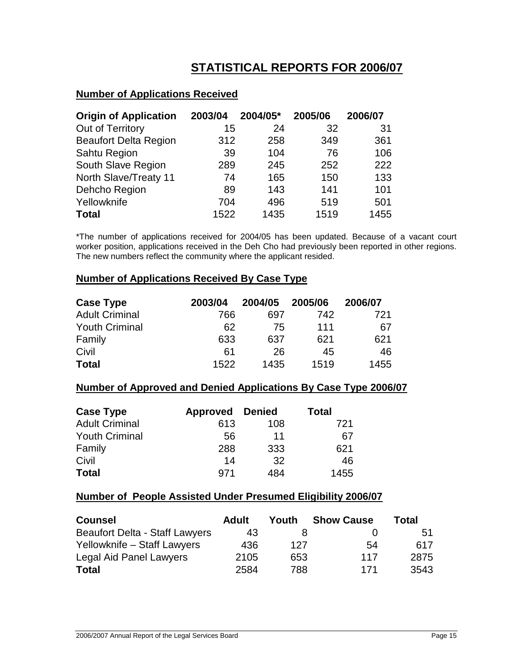# **STATISTICAL REPORTS FOR 2006/07**

### **Number of Applications Received**

| <b>Origin of Application</b> | 2003/04 | 2004/05* | 2005/06 | 2006/07 |
|------------------------------|---------|----------|---------|---------|
| Out of Territory             | 15      | 24       | 32      | 31      |
| <b>Beaufort Delta Region</b> | 312     | 258      | 349     | 361     |
| Sahtu Region                 | 39      | 104      | 76      | 106     |
| South Slave Region           | 289     | 245      | 252     | 222     |
| North Slave/Treaty 11        | 74      | 165      | 150     | 133     |
| Dehcho Region                | 89      | 143      | 141     | 101     |
| Yellowknife                  | 704     | 496      | 519     | 501     |
| <b>Total</b>                 | 1522    | 1435     | 1519    | 1455    |

\*The number of applications received for 2004/05 has been updated. Because of a vacant court worker position, applications received in the Deh Cho had previously been reported in other regions. The new numbers reflect the community where the applicant resided.

#### **Number of Applications Received By Case Type**

| <b>Case Type</b>      | 2003/04 | 2004/05 | 2005/06 | 2006/07 |
|-----------------------|---------|---------|---------|---------|
| <b>Adult Criminal</b> | 766     | 697     | 742     | 721     |
| <b>Youth Criminal</b> | 62      | 75      | 111     | 67      |
| Family                | 633     | 637     | 621     | 621     |
| Civil                 | 61      | 26      | 45      | 46      |
| <b>Total</b>          | 1522    | 1435    | 1519    | 1455    |

#### **Number of Approved and Denied Applications By Case Type 2006/07**

| <b>Case Type</b>      | <b>Approved</b> | Denied | <b>Total</b> |
|-----------------------|-----------------|--------|--------------|
| <b>Adult Criminal</b> | 613             | 108    | 721          |
| <b>Youth Criminal</b> | 56              | 11     | 67           |
| Family                | 288             | 333    | 621          |
| Civil                 | 14              | 32     | 46           |
| <b>Total</b>          | 971             | 484    | 1455         |

#### **Number of People Assisted Under Presumed Eligibility 2006/07**

| <b>Counsel</b>                        | Adult | Youth | <b>Show Cause</b> | Total |
|---------------------------------------|-------|-------|-------------------|-------|
| <b>Beaufort Delta - Staff Lawyers</b> | 43    |       |                   | 51    |
| Yellowknife - Staff Lawyers           | 436   | 127   | 54                | 617   |
| Legal Aid Panel Lawyers               | 2105  | 653   | 117               | 2875  |
| <b>Total</b>                          | 2584  | 788   | 171               | 3543  |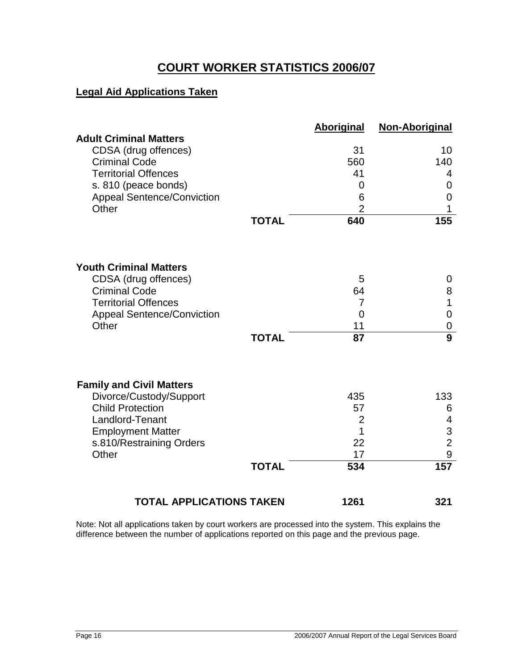# **COURT WORKER STATISTICS 2006/07**

### **Legal Aid Applications Taken**

|                                                     |              | <b>Aboriginal</b>    | <b>Non-Aboriginal</b> |
|-----------------------------------------------------|--------------|----------------------|-----------------------|
| <b>Adult Criminal Matters</b>                       |              |                      |                       |
| CDSA (drug offences)<br><b>Criminal Code</b>        |              | 31<br>560            | 10<br>140             |
| <b>Territorial Offences</b>                         |              | 41                   | 4                     |
| s. 810 (peace bonds)                                |              | 0                    | 0                     |
| <b>Appeal Sentence/Conviction</b>                   |              | 6                    | 0                     |
| Other                                               |              | $\overline{2}$       | 1                     |
|                                                     | <b>TOTAL</b> | 640                  | 155                   |
|                                                     |              |                      |                       |
| <b>Youth Criminal Matters</b>                       |              |                      |                       |
| CDSA (drug offences)                                |              | 5                    | 0                     |
| <b>Criminal Code</b><br><b>Territorial Offences</b> |              | 64<br>$\overline{7}$ | 8<br>1                |
| <b>Appeal Sentence/Conviction</b>                   |              | 0                    | 0                     |
| Other                                               |              | 11                   | $\mathbf 0$           |
|                                                     | <b>TOTAL</b> | 87                   | $\overline{9}$        |
| <b>Family and Civil Matters</b>                     |              |                      |                       |
| Divorce/Custody/Support                             |              | 435                  | 133                   |
| <b>Child Protection</b>                             |              | 57                   | 6                     |
| Landlord-Tenant                                     |              | $\overline{2}$       | 4                     |
| <b>Employment Matter</b>                            |              | 1                    | 3                     |
| s.810/Restraining Orders                            |              | 22                   | $\overline{2}$        |
| Other                                               |              | 17                   | 9                     |
|                                                     | <b>TOTAL</b> | 534                  | 157                   |
| <b>TOTAL APPLICATIONS TAKEN</b>                     |              | 1261                 | 321                   |

Note: Not all applications taken by court workers are processed into the system. This explains the difference between the number of applications reported on this page and the previous page.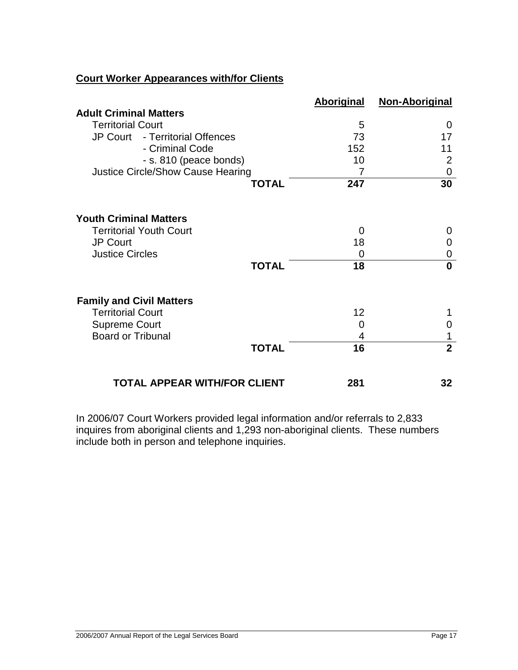### **Court Worker Appearances with/for Clients**

|                                          | <b>Aboriginal</b> | <b>Non-Aboriginal</b> |
|------------------------------------------|-------------------|-----------------------|
| <b>Adult Criminal Matters</b>            |                   |                       |
| <b>Territorial Court</b>                 | 5                 | 0                     |
| JP Court - Territorial Offences          | 73                | 17                    |
| - Criminal Code                          | 152               | 11                    |
| - s. 810 (peace bonds)                   | 10                | $\overline{2}$        |
| <b>Justice Circle/Show Cause Hearing</b> | 7                 | 0                     |
| <b>TOTAL</b>                             | 247               | 30                    |
|                                          |                   |                       |
| <b>Youth Criminal Matters</b>            |                   |                       |
| <b>Territorial Youth Court</b>           | 0                 | 0                     |
| <b>JP Court</b>                          | 18                | 0                     |
| <b>Justice Circles</b>                   | 0                 | 0                     |
| <b>TOTAL</b>                             | 18                | $\bf{0}$              |
| <b>Family and Civil Matters</b>          |                   |                       |
| <b>Territorial Court</b>                 | 12                |                       |
| <b>Supreme Court</b>                     | 0                 | 0                     |
| <b>Board or Tribunal</b>                 | 4                 |                       |
| <b>TOTAL</b>                             | 16                | $\overline{2}$        |
| TOTAL APPEAR WITH/FOR CLIENT             | 281               | 32                    |

In 2006/07 Court Workers provided legal information and/or referrals to 2,833 inquires from aboriginal clients and 1,293 non-aboriginal clients. These numbers include both in person and telephone inquiries.